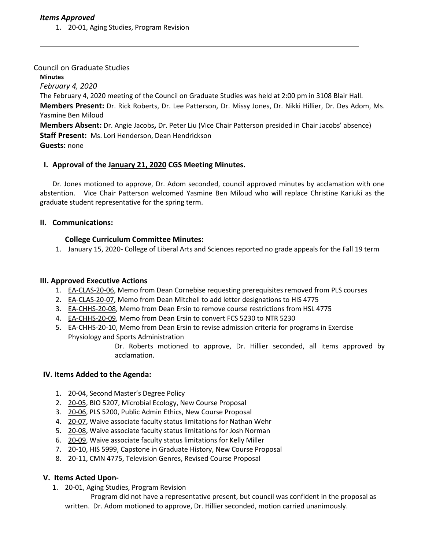1. [20-01, A](http://castle.eiu.edu/eiucgs/currentagendaitems/agenda20-01.pdf)ging Studies, Program Revision

## Council on Graduate Studies

**Minutes**

*February 4, 2020*

The February 4, 2020 meeting of the Council on Graduate Studies was held at 2:00 pm in 3108 Blair Hall. **Members Present:** Dr. Rick Roberts, Dr. Lee Patterson, Dr. Missy Jones, Dr. Nikki Hillier, Dr. Des Adom, Ms. Yasmine Ben Miloud

**Members Absent:** Dr. Angie Jacobs**,** Dr. Peter Liu (Vice Chair Patterson presided in Chair Jacobs' absence) **Staff Present:** Ms. Lori Henderson, Dean Hendrickson

**Guests:** none

# **I. Approval of the [January](https://castle.eiu.edu/eiucgs/currentminutes/Minutes1-21-20.pdf) 21, 2020 CGS Meeting Minutes.**

Dr. Jones motioned to approve, Dr. Adom seconded, council approved minutes by acclamation with one abstention. Vice Chair Patterson welcomed Yasmine Ben Miloud who will replace Christine Kariuki as the graduate student representative for the spring term.

## **II. Communications:**

# **College Curriculum Committee Minutes:**

1. January 15, 2020- College of Liberal Arts and Sciences reported no grade appeals for the Fall 19 term

## **III. Approved Executive Actions**

- 1. [EA-CLAS-20-06](https://castle.eiu.edu/eiucgs/exec-actions/EA-CLAS-20-06.pdf), Memo from Dean Cornebise requesting prerequisites removed from PLS courses
- 2. [EA-CLAS-20-07, M](https://castle.eiu.edu/eiucgs/exec-actions/EA-CLAS-20-07.pdf)emo from Dean Mitchell to add letter designations to HIS 4775
- 3. [EA-CHHS-20-08,](https://castle.eiu.edu/eiucgs/exec-actions/EA-CHHS-20-08.pdf) Memo from Dean Ersin to remove course restrictions from HSL 4775
- 4. [EA-CHHS-20-09,](https://castle.eiu.edu/eiucgs/exec-actions/EA-CHHS-20-09.pdf) Memo from Dean Ersin to convert FCS 5230 to NTR 5230
- 5. [EA-CHHS-20-10,](https://castle.eiu.edu/eiucgs/exec-actions/EA-CHHS-20-10.pdf) Memo from Dean Ersin to revise admission criteria for programs in Exercise Physiology and Sports Administration

Dr. Roberts motioned to approve, Dr. Hillier seconded, all items approved by acclamation.

## **IV. Items Added to the Agenda:**

- 1. [20-04,](http://castle.eiu.edu/eiucgs/currentagendaitems/agenda20-04.pdf) Second Master's Degree Policy
- 2. [20-05,](http://castle.eiu.edu/eiucgs/currentagendaitems/agenda20-05.pdf) BIO 5207, Microbial Ecology, New Course Proposal
- 3. [20-06, P](http://castle.eiu.edu/eiucgs/currentagendaitems/agenda20-06.pdf)LS 5200, Public Admin Ethics, New Course Proposal
- 4. [20-07, W](http://castle.eiu.edu/eiucgs/currentagendaitems/agenda20-07.pdf)aive associate faculty status limitations for Nathan Wehr
- 5. [20-08,](http://castle.eiu.edu/eiucgs/currentagendaitems/agenda20-08.pdf) Waive associate faculty status limitations for Josh Norman
- 6. [20-09, W](http://castle.eiu.edu/eiucgs/currentagendaitems/agenda20-09.pdf)aive associate faculty status limitations for Kelly Miller
- 7. [20-10, H](http://castle.eiu.edu/eiucgs/currentagendaitems/agenda20-10.pdf)IS 5999, Capstone in Graduate History, New Course Proposal
- 8. [20-11, C](http://castle.eiu.edu/eiucgs/currentagendaitems/agenda20-11.pdf)MN 4775, Television Genres, Revised Course Proposal

## **V. Items Acted Upon-**

1. [20-01, A](http://castle.eiu.edu/eiucgs/currentagendaitems/agenda20-01.pdf)ging Studies, Program Revision

 Program did not have a representative present, but council was confident in the proposal as written. Dr. Adom motioned to approve, Dr. Hillier seconded, motion carried unanimously.